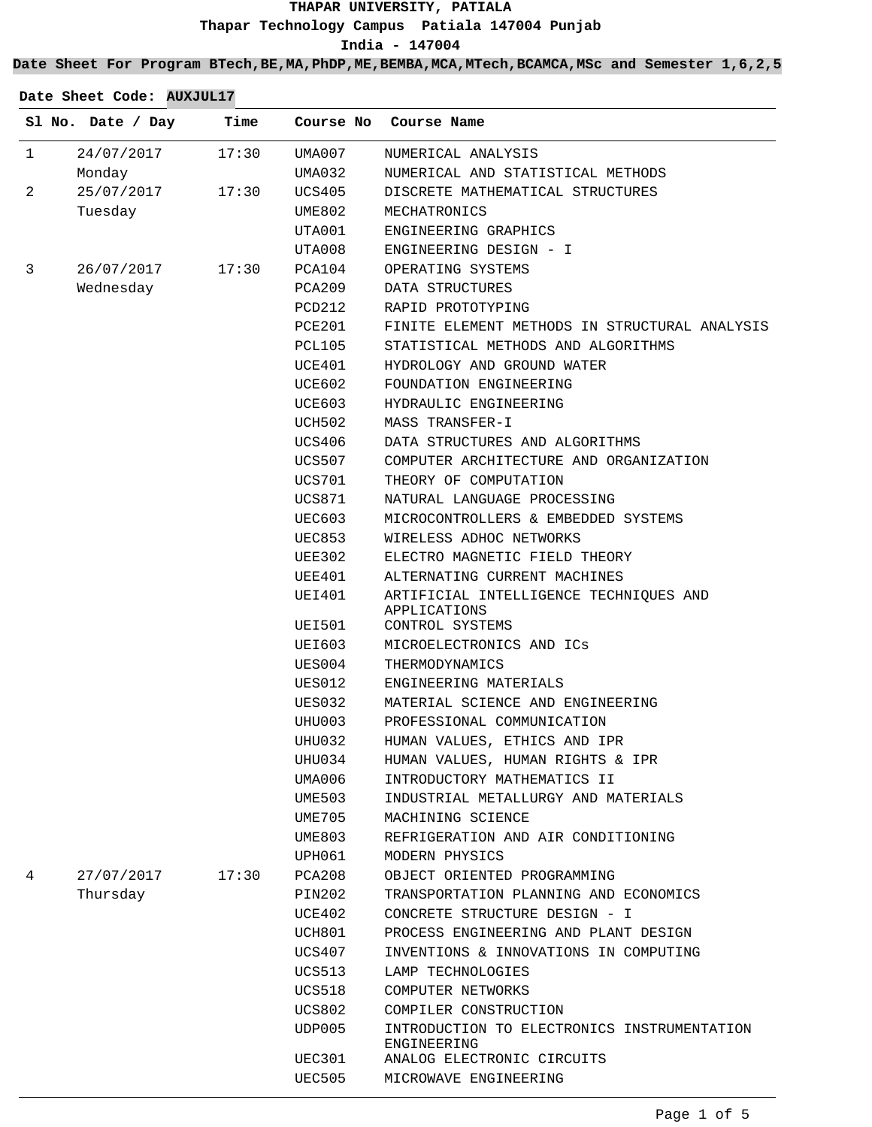### **THAPAR UNIVERSITY, PATIALA Thapar Technology Campus Patiala 147004 Punjab India - 147004**

#### **Date Sheet For Program BTech,BE,MA,PhDP,ME,BEMBA,MCA,MTech,BCAMCA,MSc and Semester 1,6,2,5**

|              | Sl No. Date / Day | Time  | Course No     | Course Name                                                |
|--------------|-------------------|-------|---------------|------------------------------------------------------------|
| $\mathbf{1}$ | 24/07/2017        | 17:30 | UMA007        | NUMERICAL ANALYSIS                                         |
|              | Monday            |       | UMA032        | NUMERICAL AND STATISTICAL METHODS                          |
| 2            | 25/07/2017        | 17:30 | UCS405        | DISCRETE MATHEMATICAL STRUCTURES                           |
|              | Tuesday           |       | UME802        | MECHATRONICS                                               |
|              |                   |       | UTA001        | ENGINEERING GRAPHICS                                       |
|              |                   |       | UTA008        | ENGINEERING DESIGN - I                                     |
| 3            | 26/07/2017        | 17:30 | PCA104        | OPERATING SYSTEMS                                          |
|              | Wednesday         |       | PCA209        | DATA STRUCTURES                                            |
|              |                   |       | PCD212        | RAPID PROTOTYPING                                          |
|              |                   |       | PCE201        | FINITE ELEMENT METHODS IN STRUCTURAL ANALYSIS              |
|              |                   |       | PCL105        | STATISTICAL METHODS AND ALGORITHMS                         |
|              |                   |       | UCE401        | HYDROLOGY AND GROUND WATER                                 |
|              |                   |       | UCE602        | FOUNDATION ENGINEERING                                     |
|              |                   |       | UCE603        | HYDRAULIC ENGINEERING                                      |
|              |                   |       | UCH502        | MASS TRANSFER-I                                            |
|              |                   |       | UCS406        | DATA STRUCTURES AND ALGORITHMS                             |
|              |                   |       | UCS507        | COMPUTER ARCHITECTURE AND ORGANIZATION                     |
|              |                   |       | UCS701        | THEORY OF COMPUTATION                                      |
|              |                   |       | UCS871        | NATURAL LANGUAGE PROCESSING                                |
|              |                   |       | <b>UEC603</b> | MICROCONTROLLERS & EMBEDDED SYSTEMS                        |
|              |                   |       | UEC853        | WIRELESS ADHOC NETWORKS                                    |
|              |                   |       | UEE302        | ELECTRO MAGNETIC FIELD THEORY                              |
|              |                   |       | UEE401        | ALTERNATING CURRENT MACHINES                               |
|              |                   |       | UEI401        | ARTIFICIAL INTELLIGENCE TECHNIQUES AND<br>APPLICATIONS     |
|              |                   |       | UEI501        | CONTROL SYSTEMS                                            |
|              |                   |       | UEI603        | MICROELECTRONICS AND ICS                                   |
|              |                   |       | UES004        | THERMODYNAMICS                                             |
|              |                   |       | UES012        | ENGINEERING MATERIALS                                      |
|              |                   |       | UES032        | MATERIAL SCIENCE AND ENGINEERING                           |
|              |                   |       | UHU003        | PROFESSIONAL COMMUNICATION                                 |
|              |                   |       | UHU032        | HUMAN VALUES, ETHICS AND IPR                               |
|              |                   |       | UHU034        | HUMAN VALUES, HUMAN RIGHTS & IPR                           |
|              |                   |       | UMA006        | INTRODUCTORY MATHEMATICS II                                |
|              |                   |       | UME503        | INDUSTRIAL METALLURGY AND MATERIALS                        |
|              |                   |       | UME705        | MACHINING SCIENCE                                          |
|              |                   |       | UME803        | REFRIGERATION AND AIR CONDITIONING                         |
|              |                   |       | UPH061        | MODERN PHYSICS                                             |
| 4            | 27/07/2017        | 17:30 | PCA208        | OBJECT ORIENTED PROGRAMMING                                |
|              | Thursday          |       | PIN202        | TRANSPORTATION PLANNING AND ECONOMICS                      |
|              |                   |       | UCE402        | CONCRETE STRUCTURE DESIGN - I                              |
|              |                   |       | UCH801        | PROCESS ENGINEERING AND PLANT DESIGN                       |
|              |                   |       | UCS407        | INVENTIONS & INNOVATIONS IN COMPUTING                      |
|              |                   |       | UCS513        | LAMP TECHNOLOGIES                                          |
|              |                   |       | UCS518        | COMPUTER NETWORKS                                          |
|              |                   |       | <b>UCS802</b> | COMPILER CONSTRUCTION                                      |
|              |                   |       | UDP005        | INTRODUCTION TO ELECTRONICS INSTRUMENTATION<br>ENGINEERING |
|              |                   |       | UEC301        | ANALOG ELECTRONIC CIRCUITS                                 |
|              |                   |       | <b>UEC505</b> | MICROWAVE ENGINEERING                                      |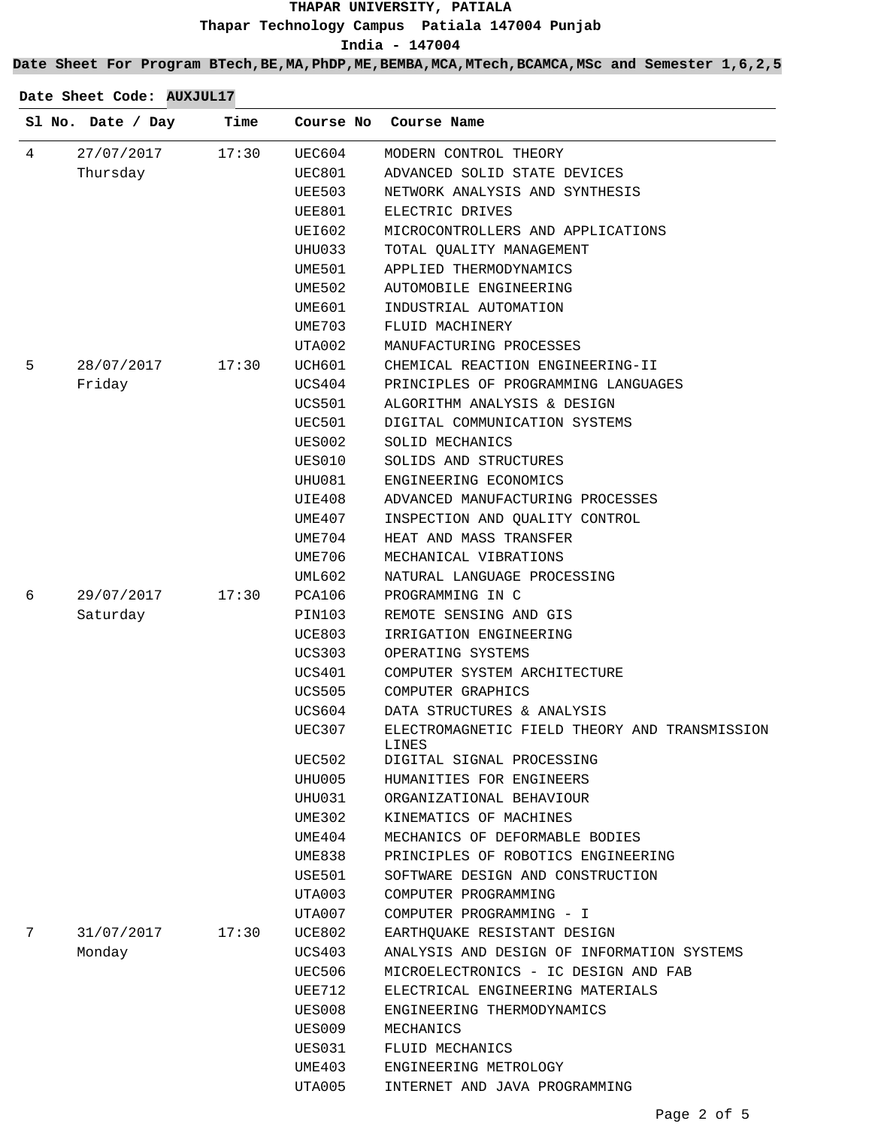## **THAPAR UNIVERSITY, PATIALA Thapar Technology Campus Patiala 147004 Punjab**

**India - 147004**

**Date Sheet For Program BTech,BE,MA,PhDP,ME,BEMBA,MCA,MTech,BCAMCA,MSc and Semester 1,6,2,5**

| 4<br>27/07/2017<br>17:30<br>UEC604<br>MODERN CONTROL THEORY<br>Thursday<br>ADVANCED SOLID STATE DEVICES<br>UEC801<br>NETWORK ANALYSIS AND SYNTHESIS<br>UEE503<br>ELECTRIC DRIVES<br>UEE801<br>UEI602<br>MICROCONTROLLERS AND APPLICATIONS<br>UHU033<br>TOTAL QUALITY MANAGEMENT<br>APPLIED THERMODYNAMICS<br>UME501<br>UME502<br>AUTOMOBILE ENGINEERING<br>UME601<br>INDUSTRIAL AUTOMATION<br>FLUID MACHINERY<br>UME703<br>MANUFACTURING PROCESSES<br>UTA002<br>28/07/2017<br>CHEMICAL REACTION ENGINEERING-II<br>5<br>17:30<br>UCH601<br>Friday<br>PRINCIPLES OF PROGRAMMING LANGUAGES<br>UCS404<br><b>UCS501</b><br>ALGORITHM ANALYSIS & DESIGN<br>UEC501<br>DIGITAL COMMUNICATION SYSTEMS<br>SOLID MECHANICS<br>UES002<br>SOLIDS AND STRUCTURES<br>UES010<br>ENGINEERING ECONOMICS<br>UHU081<br>ADVANCED MANUFACTURING PROCESSES<br>UIE408<br>UME407<br>INSPECTION AND QUALITY CONTROL<br>UME704<br>HEAT AND MASS TRANSFER<br>MECHANICAL VIBRATIONS<br>UME706<br>UML602<br>NATURAL LANGUAGE PROCESSING | Course Name | Course No | Time | Sl No. Date / Day |  |
|-----------------------------------------------------------------------------------------------------------------------------------------------------------------------------------------------------------------------------------------------------------------------------------------------------------------------------------------------------------------------------------------------------------------------------------------------------------------------------------------------------------------------------------------------------------------------------------------------------------------------------------------------------------------------------------------------------------------------------------------------------------------------------------------------------------------------------------------------------------------------------------------------------------------------------------------------------------------------------------------------------------|-------------|-----------|------|-------------------|--|
|                                                                                                                                                                                                                                                                                                                                                                                                                                                                                                                                                                                                                                                                                                                                                                                                                                                                                                                                                                                                           |             |           |      |                   |  |
|                                                                                                                                                                                                                                                                                                                                                                                                                                                                                                                                                                                                                                                                                                                                                                                                                                                                                                                                                                                                           |             |           |      |                   |  |
|                                                                                                                                                                                                                                                                                                                                                                                                                                                                                                                                                                                                                                                                                                                                                                                                                                                                                                                                                                                                           |             |           |      |                   |  |
|                                                                                                                                                                                                                                                                                                                                                                                                                                                                                                                                                                                                                                                                                                                                                                                                                                                                                                                                                                                                           |             |           |      |                   |  |
|                                                                                                                                                                                                                                                                                                                                                                                                                                                                                                                                                                                                                                                                                                                                                                                                                                                                                                                                                                                                           |             |           |      |                   |  |
|                                                                                                                                                                                                                                                                                                                                                                                                                                                                                                                                                                                                                                                                                                                                                                                                                                                                                                                                                                                                           |             |           |      |                   |  |
|                                                                                                                                                                                                                                                                                                                                                                                                                                                                                                                                                                                                                                                                                                                                                                                                                                                                                                                                                                                                           |             |           |      |                   |  |
|                                                                                                                                                                                                                                                                                                                                                                                                                                                                                                                                                                                                                                                                                                                                                                                                                                                                                                                                                                                                           |             |           |      |                   |  |
|                                                                                                                                                                                                                                                                                                                                                                                                                                                                                                                                                                                                                                                                                                                                                                                                                                                                                                                                                                                                           |             |           |      |                   |  |
|                                                                                                                                                                                                                                                                                                                                                                                                                                                                                                                                                                                                                                                                                                                                                                                                                                                                                                                                                                                                           |             |           |      |                   |  |
|                                                                                                                                                                                                                                                                                                                                                                                                                                                                                                                                                                                                                                                                                                                                                                                                                                                                                                                                                                                                           |             |           |      |                   |  |
|                                                                                                                                                                                                                                                                                                                                                                                                                                                                                                                                                                                                                                                                                                                                                                                                                                                                                                                                                                                                           |             |           |      |                   |  |
|                                                                                                                                                                                                                                                                                                                                                                                                                                                                                                                                                                                                                                                                                                                                                                                                                                                                                                                                                                                                           |             |           |      |                   |  |
|                                                                                                                                                                                                                                                                                                                                                                                                                                                                                                                                                                                                                                                                                                                                                                                                                                                                                                                                                                                                           |             |           |      |                   |  |
|                                                                                                                                                                                                                                                                                                                                                                                                                                                                                                                                                                                                                                                                                                                                                                                                                                                                                                                                                                                                           |             |           |      |                   |  |
|                                                                                                                                                                                                                                                                                                                                                                                                                                                                                                                                                                                                                                                                                                                                                                                                                                                                                                                                                                                                           |             |           |      |                   |  |
|                                                                                                                                                                                                                                                                                                                                                                                                                                                                                                                                                                                                                                                                                                                                                                                                                                                                                                                                                                                                           |             |           |      |                   |  |
|                                                                                                                                                                                                                                                                                                                                                                                                                                                                                                                                                                                                                                                                                                                                                                                                                                                                                                                                                                                                           |             |           |      |                   |  |
|                                                                                                                                                                                                                                                                                                                                                                                                                                                                                                                                                                                                                                                                                                                                                                                                                                                                                                                                                                                                           |             |           |      |                   |  |
|                                                                                                                                                                                                                                                                                                                                                                                                                                                                                                                                                                                                                                                                                                                                                                                                                                                                                                                                                                                                           |             |           |      |                   |  |
|                                                                                                                                                                                                                                                                                                                                                                                                                                                                                                                                                                                                                                                                                                                                                                                                                                                                                                                                                                                                           |             |           |      |                   |  |
|                                                                                                                                                                                                                                                                                                                                                                                                                                                                                                                                                                                                                                                                                                                                                                                                                                                                                                                                                                                                           |             |           |      |                   |  |
|                                                                                                                                                                                                                                                                                                                                                                                                                                                                                                                                                                                                                                                                                                                                                                                                                                                                                                                                                                                                           |             |           |      |                   |  |
| 29/07/2017<br>17:30<br>6<br>PCA106<br>PROGRAMMING IN C                                                                                                                                                                                                                                                                                                                                                                                                                                                                                                                                                                                                                                                                                                                                                                                                                                                                                                                                                    |             |           |      |                   |  |
| Saturday<br>PIN103<br>REMOTE SENSING AND GIS                                                                                                                                                                                                                                                                                                                                                                                                                                                                                                                                                                                                                                                                                                                                                                                                                                                                                                                                                              |             |           |      |                   |  |
| IRRIGATION ENGINEERING<br>UCE803                                                                                                                                                                                                                                                                                                                                                                                                                                                                                                                                                                                                                                                                                                                                                                                                                                                                                                                                                                          |             |           |      |                   |  |
| OPERATING SYSTEMS<br>UCS303                                                                                                                                                                                                                                                                                                                                                                                                                                                                                                                                                                                                                                                                                                                                                                                                                                                                                                                                                                               |             |           |      |                   |  |
| COMPUTER SYSTEM ARCHITECTURE<br>UCS401                                                                                                                                                                                                                                                                                                                                                                                                                                                                                                                                                                                                                                                                                                                                                                                                                                                                                                                                                                    |             |           |      |                   |  |
| UCS505<br>COMPUTER GRAPHICS                                                                                                                                                                                                                                                                                                                                                                                                                                                                                                                                                                                                                                                                                                                                                                                                                                                                                                                                                                               |             |           |      |                   |  |
| <b>UCS604</b><br>DATA STRUCTURES & ANALYSIS                                                                                                                                                                                                                                                                                                                                                                                                                                                                                                                                                                                                                                                                                                                                                                                                                                                                                                                                                               |             |           |      |                   |  |
| UEC307<br>ELECTROMAGNETIC FIELD THEORY AND TRANSMISSION<br>LINES                                                                                                                                                                                                                                                                                                                                                                                                                                                                                                                                                                                                                                                                                                                                                                                                                                                                                                                                          |             |           |      |                   |  |
| UEC502<br>DIGITAL SIGNAL PROCESSING                                                                                                                                                                                                                                                                                                                                                                                                                                                                                                                                                                                                                                                                                                                                                                                                                                                                                                                                                                       |             |           |      |                   |  |
| UHU005<br>HUMANITIES FOR ENGINEERS                                                                                                                                                                                                                                                                                                                                                                                                                                                                                                                                                                                                                                                                                                                                                                                                                                                                                                                                                                        |             |           |      |                   |  |
| UHU031<br>ORGANIZATIONAL BEHAVIOUR                                                                                                                                                                                                                                                                                                                                                                                                                                                                                                                                                                                                                                                                                                                                                                                                                                                                                                                                                                        |             |           |      |                   |  |
| KINEMATICS OF MACHINES<br>UME302                                                                                                                                                                                                                                                                                                                                                                                                                                                                                                                                                                                                                                                                                                                                                                                                                                                                                                                                                                          |             |           |      |                   |  |
| UME404<br>MECHANICS OF DEFORMABLE BODIES                                                                                                                                                                                                                                                                                                                                                                                                                                                                                                                                                                                                                                                                                                                                                                                                                                                                                                                                                                  |             |           |      |                   |  |
| UME838<br>PRINCIPLES OF ROBOTICS ENGINEERING                                                                                                                                                                                                                                                                                                                                                                                                                                                                                                                                                                                                                                                                                                                                                                                                                                                                                                                                                              |             |           |      |                   |  |
| USE501<br>SOFTWARE DESIGN AND CONSTRUCTION                                                                                                                                                                                                                                                                                                                                                                                                                                                                                                                                                                                                                                                                                                                                                                                                                                                                                                                                                                |             |           |      |                   |  |
| UTA003<br>COMPUTER PROGRAMMING                                                                                                                                                                                                                                                                                                                                                                                                                                                                                                                                                                                                                                                                                                                                                                                                                                                                                                                                                                            |             |           |      |                   |  |
| UTA007<br>COMPUTER PROGRAMMING - I                                                                                                                                                                                                                                                                                                                                                                                                                                                                                                                                                                                                                                                                                                                                                                                                                                                                                                                                                                        |             |           |      |                   |  |
| 7<br>31/07/2017<br>17:30<br>UCE802<br>EARTHOUAKE RESISTANT DESIGN                                                                                                                                                                                                                                                                                                                                                                                                                                                                                                                                                                                                                                                                                                                                                                                                                                                                                                                                         |             |           |      |                   |  |
| ANALYSIS AND DESIGN OF INFORMATION SYSTEMS<br>Monday<br>UCS403                                                                                                                                                                                                                                                                                                                                                                                                                                                                                                                                                                                                                                                                                                                                                                                                                                                                                                                                            |             |           |      |                   |  |
| MICROELECTRONICS - IC DESIGN AND FAB<br>UEC506                                                                                                                                                                                                                                                                                                                                                                                                                                                                                                                                                                                                                                                                                                                                                                                                                                                                                                                                                            |             |           |      |                   |  |
| UEE712<br>ELECTRICAL ENGINEERING MATERIALS                                                                                                                                                                                                                                                                                                                                                                                                                                                                                                                                                                                                                                                                                                                                                                                                                                                                                                                                                                |             |           |      |                   |  |
| ENGINEERING THERMODYNAMICS<br>UES008                                                                                                                                                                                                                                                                                                                                                                                                                                                                                                                                                                                                                                                                                                                                                                                                                                                                                                                                                                      |             |           |      |                   |  |
| UES009<br>MECHANICS                                                                                                                                                                                                                                                                                                                                                                                                                                                                                                                                                                                                                                                                                                                                                                                                                                                                                                                                                                                       |             |           |      |                   |  |
| UES031<br>FLUID MECHANICS                                                                                                                                                                                                                                                                                                                                                                                                                                                                                                                                                                                                                                                                                                                                                                                                                                                                                                                                                                                 |             |           |      |                   |  |
| UME403<br>ENGINEERING METROLOGY                                                                                                                                                                                                                                                                                                                                                                                                                                                                                                                                                                                                                                                                                                                                                                                                                                                                                                                                                                           |             |           |      |                   |  |
| UTA005<br>INTERNET AND JAVA PROGRAMMING                                                                                                                                                                                                                                                                                                                                                                                                                                                                                                                                                                                                                                                                                                                                                                                                                                                                                                                                                                   |             |           |      |                   |  |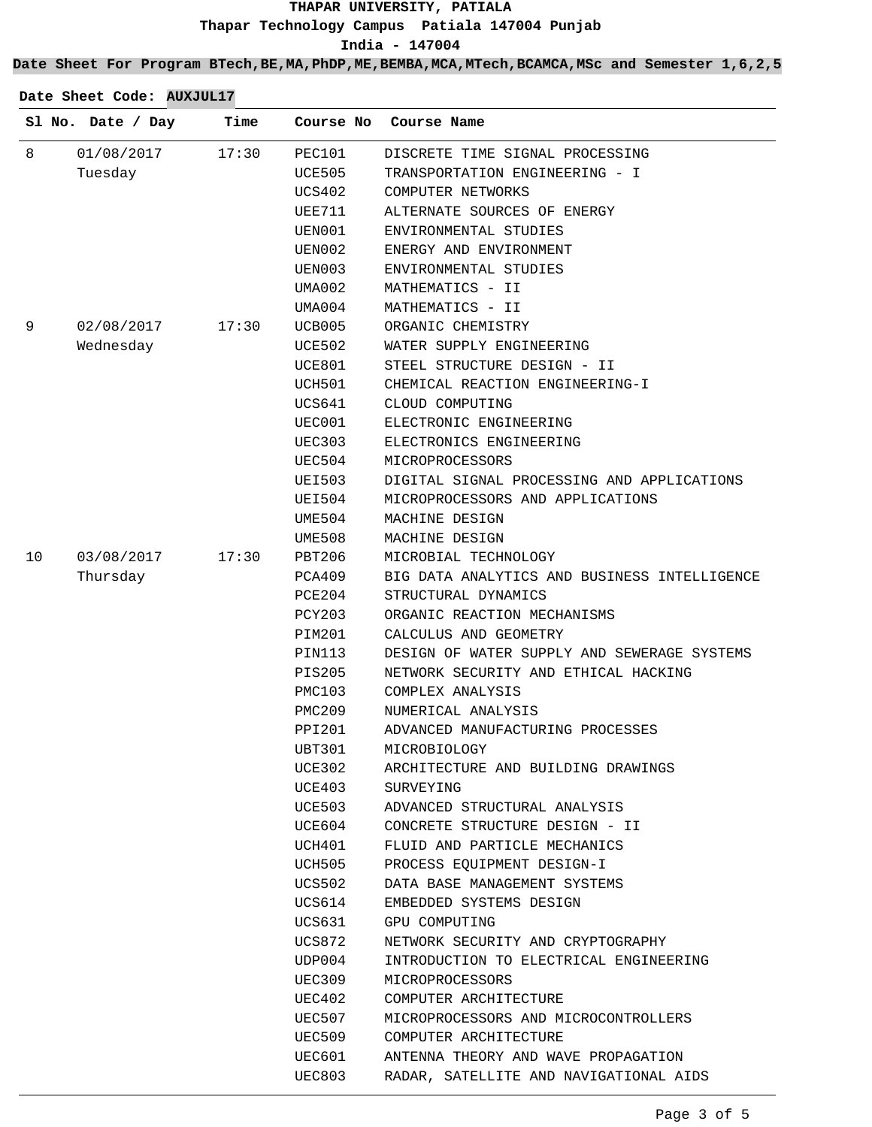# **THAPAR UNIVERSITY, PATIALA Thapar Technology Campus Patiala 147004 Punjab**

**India - 147004**

**Date Sheet For Program BTech,BE,MA,PhDP,ME,BEMBA,MCA,MTech,BCAMCA,MSc and Semester 1,6,2,5**

|    | Sl No. Date / Day | Time  | Course No     | Course Name                                  |
|----|-------------------|-------|---------------|----------------------------------------------|
| 8  | 01/08/2017        | 17:30 | PEC101        | DISCRETE TIME SIGNAL PROCESSING              |
|    | Tuesday           |       | UCE505        | TRANSPORTATION ENGINEERING - I               |
|    |                   |       | UCS402        | COMPUTER NETWORKS                            |
|    |                   |       | UEE711        | ALTERNATE SOURCES OF ENERGY                  |
|    |                   |       | UEN001        | ENVIRONMENTAL STUDIES                        |
|    |                   |       | UEN002        | ENERGY AND ENVIRONMENT                       |
|    |                   |       | UEN003        | ENVIRONMENTAL STUDIES                        |
|    |                   |       | UMA002        | MATHEMATICS - II                             |
|    |                   |       | UMA004        | MATHEMATICS - II                             |
| 9  | 02/08/2017        | 17:30 | UCB005        | ORGANIC CHEMISTRY                            |
|    | Wednesday         |       | UCE502        | WATER SUPPLY ENGINEERING                     |
|    |                   |       | UCE801        | STEEL STRUCTURE DESIGN - II                  |
|    |                   |       | UCH501        | CHEMICAL REACTION ENGINEERING-I              |
|    |                   |       | UCS641        | CLOUD COMPUTING                              |
|    |                   |       | UEC001        | ELECTRONIC ENGINEERING                       |
|    |                   |       | UEC303        | ELECTRONICS ENGINEERING                      |
|    |                   |       | UEC504        | MICROPROCESSORS                              |
|    |                   |       | UEI503        | DIGITAL SIGNAL PROCESSING AND APPLICATIONS   |
|    |                   |       | UEI504        | MICROPROCESSORS AND APPLICATIONS             |
|    |                   |       | UME504        | MACHINE DESIGN                               |
|    |                   |       | UME508        | MACHINE DESIGN                               |
| 10 | 03/08/2017        | 17:30 | PBT206        | MICROBIAL TECHNOLOGY                         |
|    | Thursday          |       | PCA409        | BIG DATA ANALYTICS AND BUSINESS INTELLIGENCE |
|    |                   |       | PCE204        | STRUCTURAL DYNAMICS                          |
|    |                   |       | <b>PCY203</b> | ORGANIC REACTION MECHANISMS                  |
|    |                   |       | PIM201        | CALCULUS AND GEOMETRY                        |
|    |                   |       | PIN113        | DESIGN OF WATER SUPPLY AND SEWERAGE SYSTEMS  |
|    |                   |       | <b>PIS205</b> | NETWORK SECURITY AND ETHICAL HACKING         |
|    |                   |       | PMC103        | COMPLEX ANALYSIS                             |
|    |                   |       | PMC209        | NUMERICAL ANALYSIS                           |
|    |                   |       | PPI201        | ADVANCED MANUFACTURING PROCESSES             |
|    |                   |       | <b>UBT301</b> | MICROBIOLOGY                                 |
|    |                   |       | UCE302        | ARCHITECTURE AND BUILDING DRAWINGS           |
|    |                   |       | UCE403        | SURVEYING                                    |
|    |                   |       | UCE503        | ADVANCED STRUCTURAL ANALYSIS                 |
|    |                   |       | UCE604        | CONCRETE STRUCTURE DESIGN - II               |
|    |                   |       | UCH401        | FLUID AND PARTICLE MECHANICS                 |
|    |                   |       | UCH505        | PROCESS EQUIPMENT DESIGN-I                   |
|    |                   |       | UCS502        | DATA BASE MANAGEMENT SYSTEMS                 |
|    |                   |       | UCS614        | EMBEDDED SYSTEMS DESIGN                      |
|    |                   |       | UCS631        | GPU COMPUTING                                |
|    |                   |       | UCS872        | NETWORK SECURITY AND CRYPTOGRAPHY            |
|    |                   |       | UDP004        | INTRODUCTION TO ELECTRICAL ENGINEERING       |
|    |                   |       | UEC309        | MICROPROCESSORS                              |
|    |                   |       | UEC402        | COMPUTER ARCHITECTURE                        |
|    |                   |       | UEC507        | MICROPROCESSORS AND MICROCONTROLLERS         |
|    |                   |       | UEC509        | COMPUTER ARCHITECTURE                        |
|    |                   |       | UEC601        | ANTENNA THEORY AND WAVE PROPAGATION          |
|    |                   |       | UEC803        | RADAR, SATELLITE AND NAVIGATIONAL AIDS       |
|    |                   |       |               |                                              |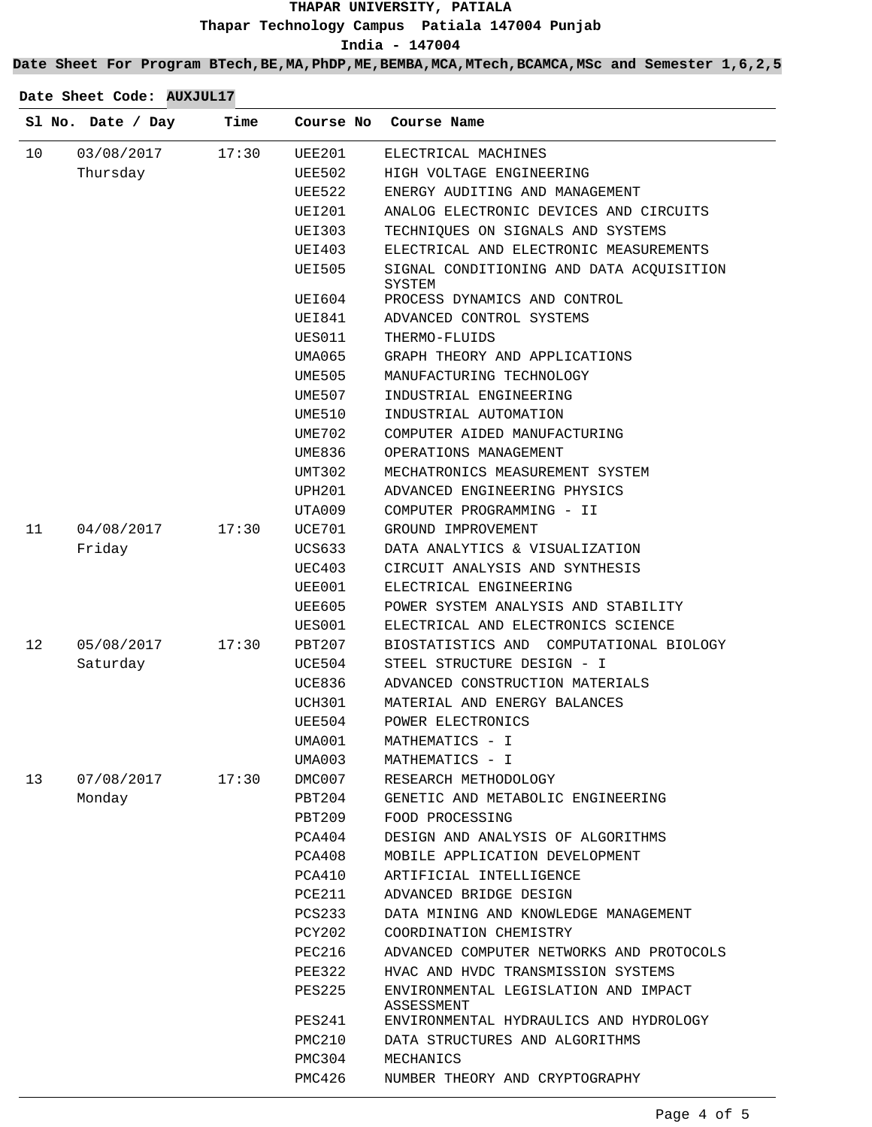### **THAPAR UNIVERSITY, PATIALA Thapar Technology Campus Patiala 147004 Punjab India - 147004**

**Date Sheet For Program BTech,BE,MA,PhDP,ME,BEMBA,MCA,MTech,BCAMCA,MSc and Semester 1,6,2,5**

|    | Sl No. Date / Day | Time  | Course No     | Course Name                                        |
|----|-------------------|-------|---------------|----------------------------------------------------|
| 10 | 03/08/2017        | 17:30 | <b>UEE201</b> | ELECTRICAL MACHINES                                |
|    | Thursday          |       | <b>UEE502</b> | HIGH VOLTAGE ENGINEERING                           |
|    |                   |       | <b>UEE522</b> | ENERGY AUDITING AND MANAGEMENT                     |
|    |                   |       | <b>UEI201</b> | ANALOG ELECTRONIC DEVICES AND CIRCUITS             |
|    |                   |       | UEI303        | TECHNIQUES ON SIGNALS AND SYSTEMS                  |
|    |                   |       | UEI403        | ELECTRICAL AND ELECTRONIC MEASUREMENTS             |
|    |                   |       | <b>UEI505</b> | SIGNAL CONDITIONING AND DATA ACQUISITION<br>SYSTEM |
|    |                   |       | UEI604        | PROCESS DYNAMICS AND CONTROL                       |
|    |                   |       | UEI841        | ADVANCED CONTROL SYSTEMS                           |
|    |                   |       | UES011        | THERMO-FLUIDS                                      |
|    |                   |       | UMA065        | GRAPH THEORY AND APPLICATIONS                      |
|    |                   |       | UME505        | MANUFACTURING TECHNOLOGY                           |
|    |                   |       | UME507        | INDUSTRIAL ENGINEERING                             |
|    |                   |       | UME510        | INDUSTRIAL AUTOMATION                              |
|    |                   |       | <b>UME702</b> | COMPUTER AIDED MANUFACTURING                       |
|    |                   |       | UME836        | OPERATIONS MANAGEMENT                              |
|    |                   |       | UMT302        | MECHATRONICS MEASUREMENT SYSTEM                    |
|    |                   |       | <b>UPH201</b> | ADVANCED ENGINEERING PHYSICS                       |
|    |                   |       | UTA009        | COMPUTER PROGRAMMING - II                          |
| 11 | 04/08/2017        | 17:30 | UCE701        | GROUND IMPROVEMENT                                 |
|    | Friday            |       | UCS633        | DATA ANALYTICS & VISUALIZATION                     |
|    |                   |       | <b>UEC403</b> | CIRCUIT ANALYSIS AND SYNTHESIS                     |
|    |                   |       | UEE001        | ELECTRICAL ENGINEERING                             |
|    |                   |       | UEE605        | POWER SYSTEM ANALYSIS AND STABILITY                |
|    |                   |       | UES001        | ELECTRICAL AND ELECTRONICS SCIENCE                 |
| 12 | 05/08/2017        | 17:30 | PBT207        | BIOSTATISTICS AND COMPUTATIONAL BIOLOGY            |
|    | Saturday          |       | UCE504        | STEEL STRUCTURE DESIGN - I                         |
|    |                   |       | UCE836        | ADVANCED CONSTRUCTION MATERIALS                    |
|    |                   |       | UCH301        | MATERIAL AND ENERGY BALANCES                       |
|    |                   |       | UEE504        | POWER ELECTRONICS                                  |
|    |                   |       | UMA001        | MATHEMATICS - I                                    |
|    |                   |       | UMA003        | MATHEMATICS - I                                    |
| 13 | 07/08/2017        | 17:30 | DMC007        | RESEARCH METHODOLOGY                               |
|    | Monday            |       | PBT204        | GENETIC AND METABOLIC ENGINEERING                  |
|    |                   |       | PBT209        | FOOD PROCESSING                                    |
|    |                   |       | PCA404        | DESIGN AND ANALYSIS OF ALGORITHMS                  |
|    |                   |       | PCA408        | MOBILE APPLICATION DEVELOPMENT                     |
|    |                   |       | PCA410        | ARTIFICIAL INTELLIGENCE                            |
|    |                   |       | PCE211        | ADVANCED BRIDGE DESIGN                             |
|    |                   |       | PCS233        | DATA MINING AND KNOWLEDGE MANAGEMENT               |
|    |                   |       | PCY202        | COORDINATION CHEMISTRY                             |
|    |                   |       | <b>PEC216</b> | ADVANCED COMPUTER NETWORKS AND PROTOCOLS           |
|    |                   |       | PEE322        | HVAC AND HVDC TRANSMISSION SYSTEMS                 |
|    |                   |       | PES225        | ENVIRONMENTAL LEGISLATION AND IMPACT<br>ASSESSMENT |
|    |                   |       | PES241        | ENVIRONMENTAL HYDRAULICS AND HYDROLOGY             |
|    |                   |       | PMC210        | DATA STRUCTURES AND ALGORITHMS                     |
|    |                   |       | PMC304        | MECHANICS                                          |
|    |                   |       | PMC426        | NUMBER THEORY AND CRYPTOGRAPHY                     |